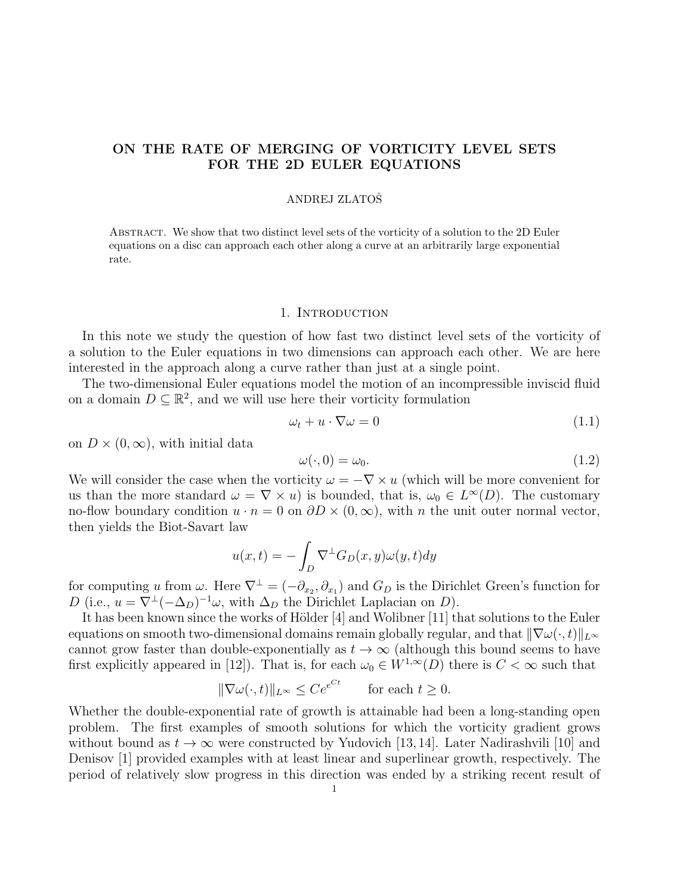# ON THE RATE OF MERGING OF VORTICITY LEVEL SETS FOR THE 2D EULER EQUATIONS

### ANDREJ ZLATOSˇ

Abstract. We show that two distinct level sets of the vorticity of a solution to the 2D Euler equations on a disc can approach each other along a curve at an arbitrarily large exponential rate.

#### 1. INTRODUCTION

In this note we study the question of how fast two distinct level sets of the vorticity of a solution to the Euler equations in two dimensions can approach each other. We are here interested in the approach along a curve rather than just at a single point.

The two-dimensional Euler equations model the motion of an incompressible inviscid fluid on a domain  $D \subseteq \mathbb{R}^2$ , and we will use here their vorticity formulation

$$
\omega_t + u \cdot \nabla \omega = 0 \tag{1.1}
$$

on  $D \times (0, \infty)$ , with initial data

$$
\omega(\cdot,0) = \omega_0.\tag{1.2}
$$

We will consider the case when the vorticity  $\omega = -\nabla \times u$  (which will be more convenient for us than the more standard  $\omega = \nabla \times u$  is bounded, that is,  $\omega_0 \in L^{\infty}(D)$ . The customary no-flow boundary condition  $u \cdot n = 0$  on  $\partial D \times (0, \infty)$ , with n the unit outer normal vector, then yields the Biot-Savart law

$$
u(x,t) = -\int_D \nabla^{\perp} G_D(x,y)\omega(y,t)dy
$$

for computing u from  $\omega$ . Here  $\nabla^{\perp} = (-\partial_{x_2}, \partial_{x_1})$  and  $G_D$  is the Dirichlet Green's function for D (i.e.,  $u = \nabla^{\perp}(-\Delta_D)^{-1}\omega$ , with  $\Delta_D$  the Dirichlet Laplacian on D).

It has been known since the works of Hölder  $[4]$  and Wolibner  $[11]$  that solutions to the Euler equations on smooth two-dimensional domains remain globally regular, and that  $\|\nabla\omega(\cdot,t)\|_{L^\infty}$ cannot grow faster than double-exponentially as  $t \to \infty$  (although this bound seems to have first explicitly appeared in [12]). That is, for each  $\omega_0 \in W^{1,\infty}(D)$  there is  $C < \infty$  such that

$$
\|\nabla\omega(\cdot,t)\|_{L^{\infty}} \le Ce^{e^{Ct}} \quad \text{for each } t \ge 0.
$$

Whether the double-exponential rate of growth is attainable had been a long-standing open problem. The first examples of smooth solutions for which the vorticity gradient grows without bound as  $t \to \infty$  were constructed by Yudovich [13, 14]. Later Nadirashvili [10] and Denisov [1] provided examples with at least linear and superlinear growth, respectively. The period of relatively slow progress in this direction was ended by a striking recent result of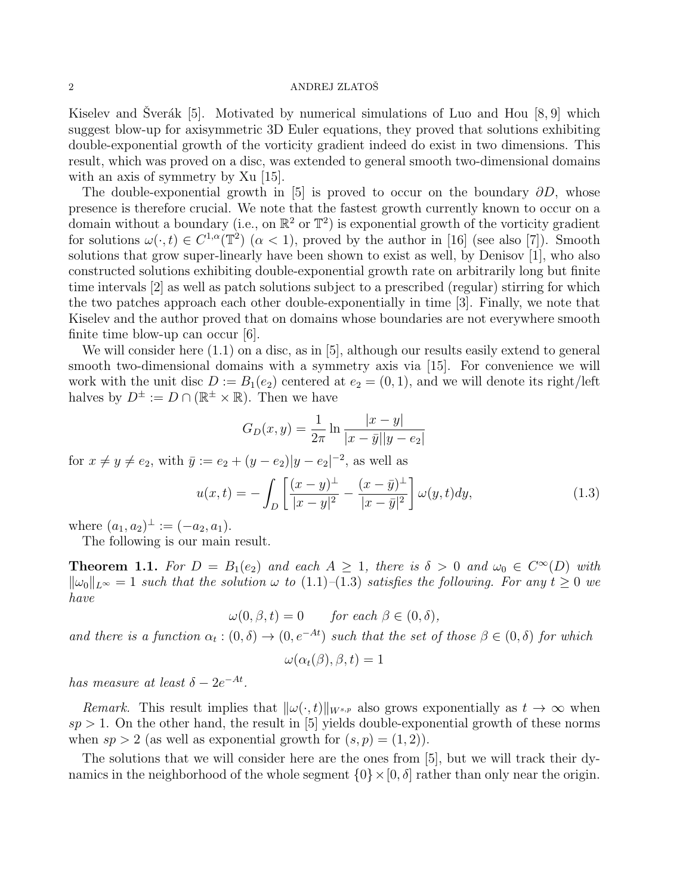Kiselev and Sverák [5]. Motivated by numerical simulations of Luo and Hou  $[8, 9]$  which suggest blow-up for axisymmetric 3D Euler equations, they proved that solutions exhibiting double-exponential growth of the vorticity gradient indeed do exist in two dimensions. This result, which was proved on a disc, was extended to general smooth two-dimensional domains with an axis of symmetry by Xu [15].

The double-exponential growth in [5] is proved to occur on the boundary  $\partial D$ , whose presence is therefore crucial. We note that the fastest growth currently known to occur on a domain without a boundary (i.e., on  $\mathbb{R}^2$  or  $\mathbb{T}^2$ ) is exponential growth of the vorticity gradient for solutions  $\omega(\cdot, t) \in C^{1,\alpha}(\mathbb{T}^2)$   $(\alpha < 1)$ , proved by the author in [16] (see also [7]). Smooth solutions that grow super-linearly have been shown to exist as well, by Denisov [1], who also constructed solutions exhibiting double-exponential growth rate on arbitrarily long but finite time intervals [2] as well as patch solutions subject to a prescribed (regular) stirring for which the two patches approach each other double-exponentially in time [3]. Finally, we note that Kiselev and the author proved that on domains whose boundaries are not everywhere smooth finite time blow-up can occur [6].

We will consider here  $(1.1)$  on a disc, as in [5], although our results easily extend to general smooth two-dimensional domains with a symmetry axis via [15]. For convenience we will work with the unit disc  $D := B_1(e_2)$  centered at  $e_2 = (0, 1)$ , and we will denote its right/left halves by  $D^{\pm} := D \cap (\mathbb{R}^{\pm} \times \mathbb{R})$ . Then we have

$$
G_D(x,y) = \frac{1}{2\pi} \ln \frac{|x-y|}{|x-\bar{y}||y-e_2|}
$$

for  $x \neq y \neq e_2$ , with  $\bar{y} := e_2 + (y - e_2)|y - e_2|^{-2}$ , as well as

$$
u(x,t) = -\int_{D} \left[ \frac{(x-y)^{\perp}}{|x-y|^2} - \frac{(x-\bar{y})^{\perp}}{|x-\bar{y}|^2} \right] \omega(y,t) dy,
$$
 (1.3)

where  $(a_1, a_2)^\perp := (-a_2, a_1)$ .

The following is our main result.

**Theorem 1.1.** For  $D = B_1(e_2)$  and each  $A \geq 1$ , there is  $\delta > 0$  and  $\omega_0 \in C^{\infty}(D)$  with  $\|\omega_0\|_{L^\infty} = 1$  such that the solution  $\omega$  to (1.1)–(1.3) satisfies the following. For any  $t \geq 0$  we have

$$
\omega(0,\beta,t) = 0 \quad \text{for each } \beta \in (0,\delta),
$$

and there is a function  $\alpha_t : (0, \delta) \to (0, e^{-At})$  such that the set of those  $\beta \in (0, \delta)$  for which

$$
\omega(\alpha_t(\beta), \beta, t) = 1
$$

has measure at least  $\delta - 2e^{-At}$ .

Remark. This result implies that  $\|\omega(\cdot, t)\|_{W^{s,p}}$  also grows exponentially as  $t \to \infty$  when  $sp > 1$ . On the other hand, the result in [5] yields double-exponential growth of these norms when  $sp > 2$  (as well as exponential growth for  $(s, p) = (1, 2)$ ).

The solutions that we will consider here are the ones from [5], but we will track their dynamics in the neighborhood of the whole segment  $\{0\} \times [0, \delta]$  rather than only near the origin.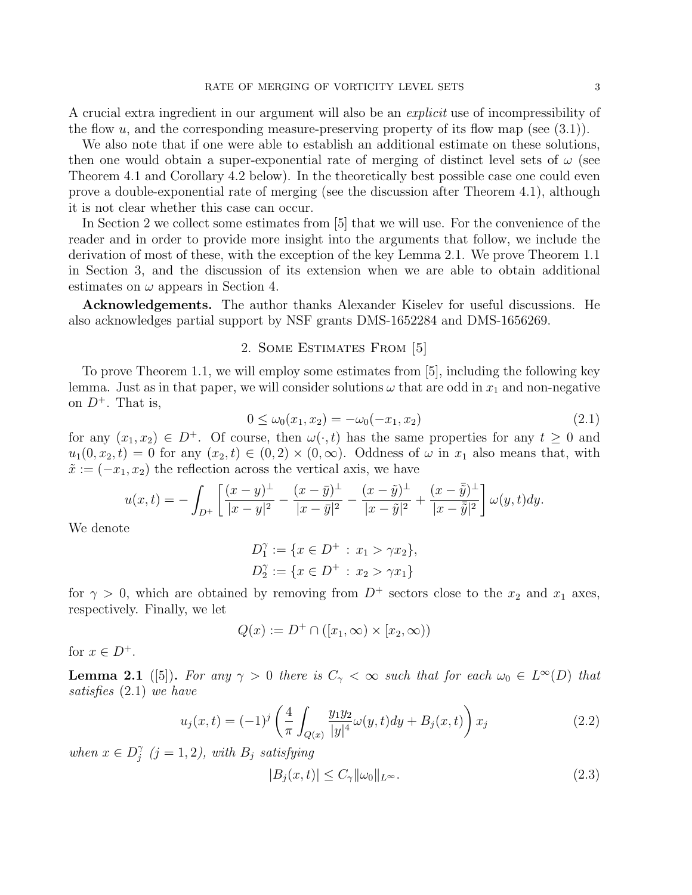A crucial extra ingredient in our argument will also be an *explicit* use of incompressibility of the flow  $u$ , and the corresponding measure-preserving property of its flow map (see  $(3.1)$ ).

We also note that if one were able to establish an additional estimate on these solutions, then one would obtain a super-exponential rate of merging of distinct level sets of  $\omega$  (see Theorem 4.1 and Corollary 4.2 below). In the theoretically best possible case one could even prove a double-exponential rate of merging (see the discussion after Theorem 4.1), although it is not clear whether this case can occur.

In Section 2 we collect some estimates from [5] that we will use. For the convenience of the reader and in order to provide more insight into the arguments that follow, we include the derivation of most of these, with the exception of the key Lemma 2.1. We prove Theorem 1.1 in Section 3, and the discussion of its extension when we are able to obtain additional estimates on  $\omega$  appears in Section 4.

Acknowledgements. The author thanks Alexander Kiselev for useful discussions. He also acknowledges partial support by NSF grants DMS-1652284 and DMS-1656269.

## 2. Some Estimates From [5]

To prove Theorem 1.1, we will employ some estimates from [5], including the following key lemma. Just as in that paper, we will consider solutions  $\omega$  that are odd in  $x_1$  and non-negative on  $D^+$ . That is,

$$
0 \le \omega_0(x_1, x_2) = -\omega_0(-x_1, x_2) \tag{2.1}
$$

for any  $(x_1, x_2) \in D^+$ . Of course, then  $\omega(\cdot, t)$  has the same properties for any  $t \geq 0$  and  $u_1(0, x_2, t) = 0$  for any  $(x_2, t) \in (0, 2) \times (0, \infty)$ . Oddness of  $\omega$  in  $x_1$  also means that, with  $\tilde{x} := (-x_1, x_2)$  the reflection across the vertical axis, we have

$$
u(x,t) = -\int_{D^+} \left[ \frac{(x-y)^{\perp}}{|x-y|^2} - \frac{(x-\bar{y})^{\perp}}{|x-\bar{y}|^2} - \frac{(x-\tilde{y})^{\perp}}{|x-\tilde{y}|^2} + \frac{(x-\bar{\tilde{y}})^{\perp}}{|x-\bar{\tilde{y}}|^2} \right] \omega(y,t) dy.
$$

We denote

$$
D_1^{\gamma} := \{ x \in D^+ : x_1 > \gamma x_2 \},
$$
  

$$
D_2^{\gamma} := \{ x \in D^+ : x_2 > \gamma x_1 \}
$$

for  $\gamma > 0$ , which are obtained by removing from  $D^+$  sectors close to the  $x_2$  and  $x_1$  axes, respectively. Finally, we let

$$
Q(x) := D^+ \cap ([x_1, \infty) \times [x_2, \infty))
$$

for  $x \in D^+$ .

**Lemma 2.1** ([5]). For any  $\gamma > 0$  there is  $C_{\gamma} < \infty$  such that for each  $\omega_0 \in L^{\infty}(D)$  that satisfies (2.1) we have

$$
u_j(x,t) = (-1)^j \left( \frac{4}{\pi} \int_{Q(x)} \frac{y_1 y_2}{|y|^4} \omega(y,t) dy + B_j(x,t) \right) x_j
$$
 (2.2)

when  $x \in D_i^{\gamma}$  $j^{\gamma}$   $(j = 1, 2)$ , with  $B_j$  satisfying

$$
|B_j(x,t)| \le C_\gamma \|\omega_0\|_{L^\infty}.\tag{2.3}
$$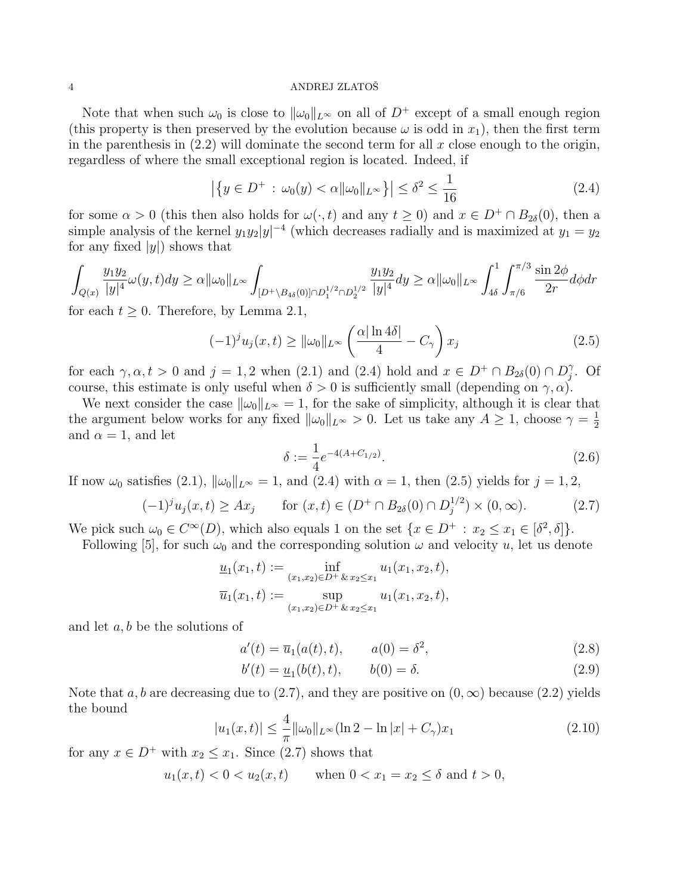Note that when such  $\omega_0$  is close to  $\|\omega_0\|_{L^\infty}$  on all of  $D^+$  except of a small enough region (this property is then preserved by the evolution because  $\omega$  is odd in  $x_1$ ), then the first term in the parenthesis in  $(2.2)$  will dominate the second term for all x close enough to the origin, regardless of where the small exceptional region is located. Indeed, if

$$
\left| \left\{ y \in D^+ : \omega_0(y) < \alpha \|\omega_0\|_{L^\infty} \right\} \right| \le \delta^2 \le \frac{1}{16} \tag{2.4}
$$

for some  $\alpha > 0$  (this then also holds for  $\omega(\cdot, t)$  and any  $t \ge 0$ ) and  $x \in D^+ \cap B_{2\delta}(0)$ , then a simple analysis of the kernel  $y_1y_2|y|^{-4}$  (which decreases radially and is maximized at  $y_1 = y_2$ for any fixed  $|y|$  shows that

$$
\int_{Q(x)} \frac{y_1 y_2}{|y|^4} \omega(y, t) dy \ge \alpha \|\omega_0\|_{L^\infty} \int_{[D^+\backslash B_{4\delta}(0)]\cap D_1^{1/2}\cap D_2^{1/2}} \frac{y_1 y_2}{|y|^4} dy \ge \alpha \|\omega_0\|_{L^\infty} \int_{4\delta}^1 \int_{\pi/6}^{\pi/3} \frac{\sin 2\phi}{2r} d\phi dr
$$

for each  $t \geq 0$ . Therefore, by Lemma 2.1,

$$
(-1)^j u_j(x,t) \ge ||\omega_0||_{L^\infty} \left(\frac{\alpha |\ln 4\delta|}{4} - C_\gamma\right) x_j \tag{2.5}
$$

for each  $\gamma, \alpha, t > 0$  and  $j = 1, 2$  when (2.1) and (2.4) hold and  $x \in D^+ \cap B_{2\delta}(0) \cap D_i^{\gamma}$  $\hat{j}$ . Of course, this estimate is only useful when  $\delta > 0$  is sufficiently small (depending on  $\gamma, \alpha$ ).

We next consider the case  $\|\omega_0\|_{L^\infty} = 1$ , for the sake of simplicity, although it is clear that the argument below works for any fixed  $\|\omega_0\|_{L^{\infty}} > 0$ . Let us take any  $A \geq 1$ , choose  $\gamma = \frac{1}{2}$ 2 and  $\alpha = 1$ , and let

$$
\delta := \frac{1}{4} e^{-4(A + C_{1/2})}.
$$
\n(2.6)

If now  $\omega_0$  satisfies (2.1),  $\|\omega_0\|_{L^\infty} = 1$ , and (2.4) with  $\alpha = 1$ , then (2.5) yields for  $j = 1, 2$ ,

$$
(-1)^{j}u_{j}(x,t) \geq Ax_{j} \qquad \text{for } (x,t) \in (D^{+} \cap B_{2\delta}(0) \cap D_{j}^{1/2}) \times (0,\infty).
$$
 (2.7)

We pick such  $\omega_0 \in C^{\infty}(D)$ , which also equals 1 on the set  $\{x \in D^+ : x_2 \le x_1 \in [\delta^2, \delta]\}.$ 

Following [5], for such  $\omega_0$  and the corresponding solution  $\omega$  and velocity u, let us denote

$$
\underline{u}_1(x_1, t) := \inf_{(x_1, x_2) \in D^+ \& x_2 \le x_1} u_1(x_1, x_2, t),
$$
  

$$
\overline{u}_1(x_1, t) := \sup_{(x_1, x_2) \in D^+ \& x_2 \le x_1} u_1(x_1, x_2, t),
$$

and let  $a, b$  be the solutions of

$$
a'(t) = \overline{u}_1(a(t), t), \qquad a(0) = \delta^2,
$$
\n(2.8)

$$
b'(t) = \underline{u}_1(b(t), t), \qquad b(0) = \delta.
$$
 (2.9)

Note that a, b are decreasing due to (2.7), and they are positive on  $(0, \infty)$  because (2.2) yields the bound

$$
|u_1(x,t)| \le \frac{4}{\pi} ||\omega_0||_{L^{\infty}} (\ln 2 - \ln |x| + C_{\gamma}) x_1
$$
\n(2.10)

for any  $x \in D^+$  with  $x_2 \le x_1$ . Since (2.7) shows that

 $u_1(x, t) < 0 < u_2(x, t)$  when  $0 < x_1 = x_2 \le \delta$  and  $t > 0$ ,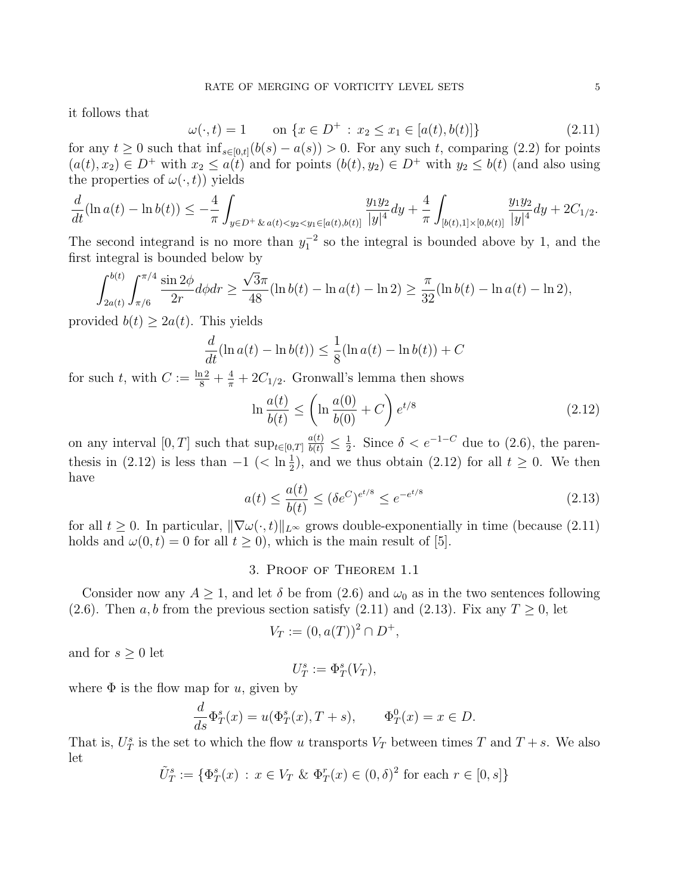it follows that

$$
\omega(\cdot, t) = 1 \qquad \text{on } \{x \in D^+ : x_2 \le x_1 \in [a(t), b(t)]\}
$$
\n(2.11)

for any  $t \geq 0$  such that  $\inf_{s \in [0,t]} (b(s) - a(s)) > 0$ . For any such t, comparing (2.2) for points  $(a(t), x_2) \in D^+$  with  $x_2 \le a(t)$  and for points  $(b(t), y_2) \in D^+$  with  $y_2 \le b(t)$  (and also using the properties of  $\omega(\cdot, t)$  yields

$$
\frac{d}{dt}(\ln a(t) - \ln b(t)) \leq -\frac{4}{\pi} \int_{y \in D^+ \& a(t) < y_2 < y_1 \in [a(t), b(t)]} \frac{y_1 y_2}{|y|^4} dy + \frac{4}{\pi} \int_{[b(t), 1] \times [0, b(t)]} \frac{y_1 y_2}{|y|^4} dy + 2C_{1/2}.
$$

The second integrand is no more than  $y_1^{-2}$  so the integral is bounded above by 1, and the first integral is bounded below by

$$
\int_{2a(t)}^{b(t)} \int_{\pi/6}^{\pi/4} \frac{\sin 2\phi}{2r} d\phi dr \ge \frac{\sqrt{3}\pi}{48} (\ln b(t) - \ln a(t) - \ln 2) \ge \frac{\pi}{32} (\ln b(t) - \ln a(t) - \ln 2),
$$

provided  $b(t) \geq 2a(t)$ . This yields

$$
\frac{d}{dt}(\ln a(t) - \ln b(t)) \le \frac{1}{8}(\ln a(t) - \ln b(t)) + C
$$

for such t, with  $C := \frac{\ln 2}{8} + \frac{4}{\pi} + 2C_{1/2}$ . Gronwall's lemma then shows

$$
\ln \frac{a(t)}{b(t)} \le \left(\ln \frac{a(0)}{b(0)} + C\right) e^{t/8} \tag{2.12}
$$

on any interval  $[0, T]$  such that  $\sup_{t \in [0, T]} \frac{a(t)}{b(t)} \leq \frac{1}{2}$  $\frac{1}{2}$ . Since  $\delta < e^{-1-C}$  due to (2.6), the parenthesis in (2.12) is less than  $-1$  ( $\langle \ln \frac{1}{2} \rangle$ , and we thus obtain (2.12) for all  $t \geq 0$ . We then have

$$
a(t) \le \frac{a(t)}{b(t)} \le (\delta e^C)^{e^{t/8}} \le e^{-e^{t/8}} \tag{2.13}
$$

for all  $t \geq 0$ . In particular,  $\|\nabla\omega(\cdot,t)\|_{L^\infty}$  grows double-exponentially in time (because (2.11) holds and  $\omega(0, t) = 0$  for all  $t \ge 0$ , which is the main result of [5].

### 3. Proof of Theorem 1.1

Consider now any  $A \geq 1$ , and let  $\delta$  be from  $(2.6)$  and  $\omega_0$  as in the two sentences following (2.6). Then a, b from the previous section satisfy (2.11) and (2.13). Fix any  $T \ge 0$ , let

$$
V_T := (0, a(T))^2 \cap D^+,
$$

and for  $s \geq 0$  let

$$
U_T^s:=\Phi_T^s(V_T),
$$

where  $\Phi$  is the flow map for u, given by

$$
\frac{d}{ds}\Phi_T^s(x) = u(\Phi_T^s(x), T + s), \qquad \Phi_T^0(x) = x \in D.
$$

That is,  $U_T^s$  is the set to which the flow u transports  $V_T$  between times T and  $T + s$ . We also let

$$
\tilde{U}_T^s := \{ \Phi_T^s(x) : x \in V_T \& \Phi_T^r(x) \in (0, \delta)^2 \text{ for each } r \in [0, s] \}
$$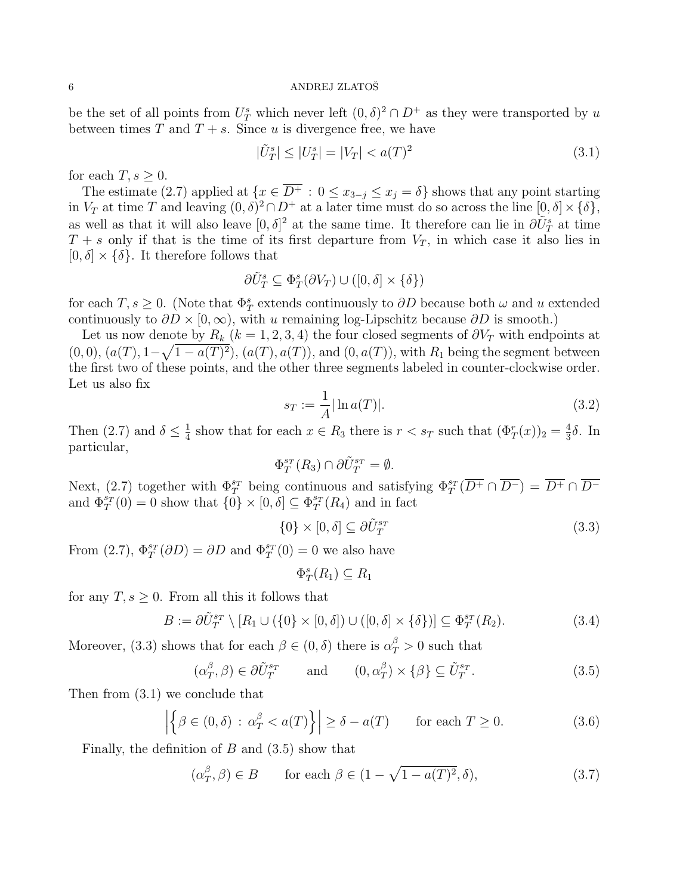be the set of all points from  $U_T^s$  which never left  $(0, \delta)^2 \cap D^+$  as they were transported by u between times  $T$  and  $T + s$ . Since u is divergence free, we have

$$
|\tilde{U}_T^s| \le |U_T^s| = |V_T| < a(T)^2 \tag{3.1}
$$

for each  $T, s \geq 0$ .

The estimate (2.7) applied at  $\{x \in \overline{D^+} : 0 \le x_{3-j} \le x_j = \delta\}$  shows that any point starting in  $V_T$  at time T and leaving  $(0, \delta)^2 \cap D^+$  at a later time must do so across the line  $[0, \delta] \times {\delta}$ , as well as that it will also leave  $[0, \delta]^2$  at the same time. It therefore can lie in  $\partial \tilde{U}^s_T$  at time  $T + s$  only if that is the time of its first departure from  $V_T$ , in which case it also lies in  $[0, \delta] \times {\delta}$ . It therefore follows that

$$
\partial \tilde{U}_T^s \subseteq \Phi_T^s(\partial V_T) \cup ([0,\delta] \times \{\delta\})
$$

for each  $T, s \geq 0$ . (Note that  $\Phi_T^s$  extends continuously to  $\partial D$  because both  $\omega$  and u extended continuously to  $\partial D \times [0,\infty)$ , with u remaining log-Lipschitz because  $\partial D$  is smooth.)

Let us now denote by  $R_k$  ( $k = 1, 2, 3, 4$ ) the four closed segments of  $\partial V_T$  with endpoints at  $(0,0), (a(T), 1-\sqrt{1-a(T)^2}), (a(T), a(T)),$  and  $(0, a(T)),$  with  $R_1$  being the segment between the first two of these points, and the other three segments labeled in counter-clockwise order. Let us also fix

$$
s_T := \frac{1}{A} |\ln a(T)|. \tag{3.2}
$$

Then (2.7) and  $\delta \leq \frac{1}{4}$  $\frac{1}{4}$  show that for each  $x \in R_3$  there is  $r < s_T$  such that  $(\Phi_T^r(x))_2 = \frac{4}{3}$  $\frac{4}{3}\delta$ . In particular,

$$
\Phi_T^{s_T}(R_3) \cap \partial \tilde{U}_T^{s_T} = \emptyset.
$$

Next, (2.7) together with  $\Phi_T^{sr}$  being continuous and satisfying  $\Phi_T^{sr}(\overline{D^+} \cap \overline{D^-}) = \overline{D^+} \cap \overline{D^-}$ and  $\Phi_T^{s_T}(0) = 0$  show that  $\{0\} \times [0, \delta] \subseteq \Phi_T^{s_T}(R_4)$  and in fact

$$
\{0\} \times [0,\delta] \subseteq \partial \tilde{U}_T^{s_T} \tag{3.3}
$$

From (2.7),  $\Phi_T^{s_T}(\partial D) = \partial D$  and  $\Phi_T^{s_T}(0) = 0$  we also have

$$
\Phi_T^s(R_1) \subseteq R_1
$$

for any  $T, s \geq 0$ . From all this it follows that

$$
B := \partial \tilde{U}_T^{s_T} \setminus [R_1 \cup (\{0\} \times [0, \delta]) \cup ([0, \delta] \times \{\delta\})] \subseteq \Phi_T^{s_T}(R_2). \tag{3.4}
$$

Moreover, (3.3) shows that for each  $\beta \in (0, \delta)$  there is  $\alpha_T^{\beta} > 0$  such that

$$
(\alpha_T^{\beta}, \beta) \in \partial \tilde{U}_T^{s_T} \quad \text{and} \quad (0, \alpha_T^{\beta}) \times \{\beta\} \subseteq \tilde{U}_T^{s_T}.
$$
 (3.5)

Then from (3.1) we conclude that

$$
\left| \left\{ \beta \in (0, \delta) \, : \, \alpha_T^{\beta} < a(T) \right\} \right| \ge \delta - a(T) \qquad \text{for each } T \ge 0. \tag{3.6}
$$

Finally, the definition of  $B$  and  $(3.5)$  show that

$$
(\alpha_T^{\beta}, \beta) \in B \qquad \text{for each } \beta \in (1 - \sqrt{1 - a(T)^2}, \delta), \tag{3.7}
$$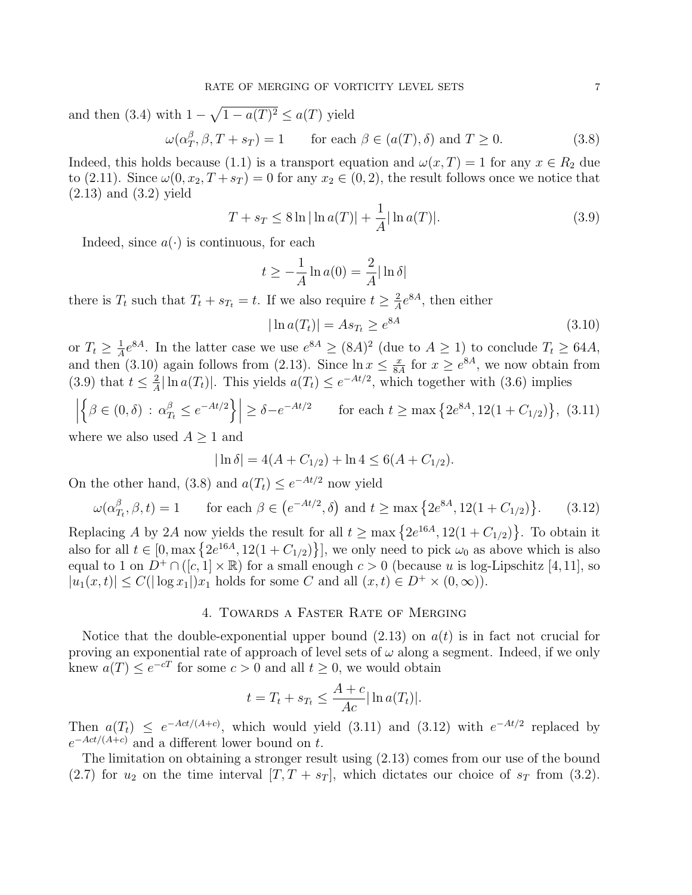and then (3.4) with  $1 - \sqrt{1 - a(T)^2} \le a(T)$  yield

$$
\omega(\alpha_T^{\beta}, \beta, T + s_T) = 1 \qquad \text{for each } \beta \in (a(T), \delta) \text{ and } T \ge 0. \tag{3.8}
$$

Indeed, this holds because (1.1) is a transport equation and  $\omega(x,T) = 1$  for any  $x \in R_2$  due to (2.11). Since  $\omega(0, x_2, T + s_T) = 0$  for any  $x_2 \in (0, 2)$ , the result follows once we notice that (2.13) and (3.2) yield

$$
T + s_T \le 8 \ln |\ln a(T)| + \frac{1}{A} |\ln a(T)|. \tag{3.9}
$$

Indeed, since  $a(\cdot)$  is continuous, for each

$$
t \ge -\frac{1}{A}\ln a(0) = \frac{2}{A}\ln \delta
$$

there is  $T_t$  such that  $T_t + s_{T_t} = t$ . If we also require  $t \geq \frac{2}{A}$  $\frac{2}{A}e^{8A}$ , then either

$$
|\ln a(T_t)| = As_{T_t} \ge e^{8A} \tag{3.10}
$$

or  $T_t \geq \frac{1}{4}$  $\frac{1}{4}e^{8A}$ . In the latter case we use  $e^{8A} \geq (8A)^2$  (due to  $A \geq 1$ ) to conclude  $T_t \geq 64A$ , and then (3.10) again follows from (2.13). Since  $\ln x \leq \frac{x}{8}$  $\frac{x}{8A}$  for  $x \geq e^{8A}$ , we now obtain from  $(3.9)$  that  $t \leq \frac{2}{4}$  $\frac{2}{A}|\ln a(T_t)|$ . This yields  $a(T_t) \leq e^{-At/2}$ , which together with (3.6) implies

$$
\left| \left\{ \beta \in (0, \delta) : \alpha_{T_t}^{\beta} \le e^{-At/2} \right\} \right| \ge \delta - e^{-At/2} \qquad \text{for each } t \ge \max \left\{ 2e^{8A}, 12(1 + C_{1/2}) \right\}, \tag{3.11}
$$

where we also used  $A \geq 1$  and

$$
|\ln \delta| = 4(A + C_{1/2}) + \ln 4 \le 6(A + C_{1/2}).
$$

On the other hand, (3.8) and  $a(T_t) \leq e^{-At/2}$  now yield

$$
\omega(\alpha_{T_t}^{\beta}, \beta, t) = 1 \qquad \text{for each } \beta \in (e^{-At/2}, \delta) \text{ and } t \ge \max\left\{2e^{8A}, 12(1 + C_{1/2})\right\}.
$$
 (3.12)

Replacing A by 2A now yields the result for all  $t \ge \max\left\{2e^{16A}, 12(1+C_{1/2})\right\}$ . To obtain it also for all  $t \in [0, \max\{2e^{16A}, 12(1+C_{1/2})\}]$ , we only need to pick  $\omega_0$  as above which is also equal to 1 on  $D^+\cap([c,1]\times\mathbb{R})$  for a small enough  $c>0$  (because u is log-Lipschitz [4,11], so  $|u_1(x,t)| \leq C(|\log x_1|)x_1$  holds for some C and all  $(x,t) \in D^+ \times (0,\infty)$ .

### 4. Towards a Faster Rate of Merging

Notice that the double-exponential upper bound  $(2.13)$  on  $a(t)$  is in fact not crucial for proving an exponential rate of approach of level sets of  $\omega$  along a segment. Indeed, if we only knew  $a(T) \leq e^{-cT}$  for some  $c > 0$  and all  $t \geq 0$ , we would obtain

$$
t = T_t + s_{T_t} \le \frac{A + c}{Ac} |\ln a(T_t)|.
$$

Then  $a(T_t) \leq e^{-Act/(A+c)}$ , which would yield (3.11) and (3.12) with  $e^{-At/2}$  replaced by  $e^{-Act/(A+c)}$  and a different lower bound on t.

The limitation on obtaining a stronger result using (2.13) comes from our use of the bound  $(2.7)$  for  $u_2$  on the time interval  $[T, T + s_T]$ , which dictates our choice of  $s_T$  from  $(3.2)$ .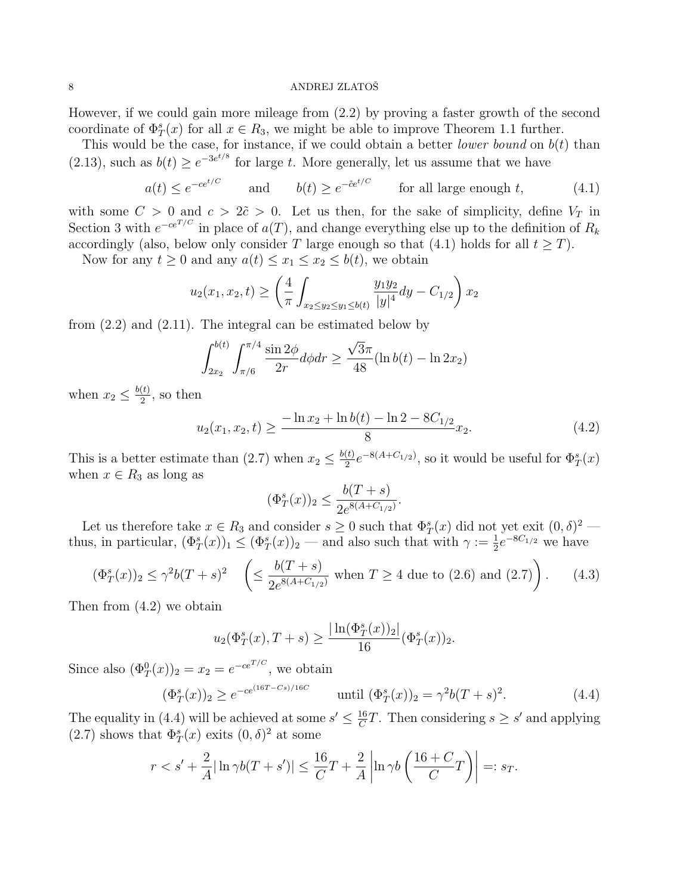However, if we could gain more mileage from (2.2) by proving a faster growth of the second coordinate of  $\Phi_T^s(x)$  for all  $x \in R_3$ , we might be able to improve Theorem 1.1 further.

This would be the case, for instance, if we could obtain a better *lower bound* on  $b(t)$  than (2.13), such as  $b(t) \geq e^{-3e^{t/8}}$  for large t. More generally, let us assume that we have

$$
a(t) \le e^{-ce^{t/C}}
$$
 and  $b(t) \ge e^{-\tilde{c}e^{t/C}}$  for all large enough t, (4.1)

with some  $C > 0$  and  $c > 2\tilde{c} > 0$ . Let us then, for the sake of simplicity, define  $V_T$  in Section 3 with  $e^{-ce^{T/C}}$  in place of  $a(T)$ , and change everything else up to the definition of  $R_k$ accordingly (also, below only consider T large enough so that (4.1) holds for all  $t \geq T$ ).

Now for any  $t \geq 0$  and any  $a(t) \leq x_1 \leq x_2 \leq b(t)$ , we obtain

$$
u_2(x_1, x_2, t) \ge \left(\frac{4}{\pi} \int_{x_2 \le y_2 \le y_1 \le b(t)} \frac{y_1 y_2}{|y|^4} dy - C_{1/2}\right) x_2
$$

from (2.2) and (2.11). The integral can be estimated below by

$$
\int_{2x_2}^{b(t)} \int_{\pi/6}^{\pi/4} \frac{\sin 2\phi}{2r} d\phi dr \ge \frac{\sqrt{3}\pi}{48} (\ln b(t) - \ln 2x_2)
$$

when  $x_2 \leq \frac{b(t)}{2}$  $\frac{(t)}{2}$ , so then

$$
u_2(x_1, x_2, t) \ge \frac{-\ln x_2 + \ln b(t) - \ln 2 - 8C_{1/2}}{8}x_2.
$$
 (4.2)

This is a better estimate than (2.7) when  $x_2 \leq \frac{b(t)}{2}$  $\frac{1}{2}e^{-8(A+C_{1/2})}$ , so it would be useful for  $\Phi_T^s(x)$ when  $x \in R_3$  as long as

$$
(\Phi_T^s(x))_2 \le \frac{b(T+s)}{2e^{8(A+C_{1/2})}}.
$$

Let us therefore take  $x \in R_3$  and consider  $s \geq 0$  such that  $\Phi_T^s(x)$  did not yet exit  $(0, \delta)^2$ thus, in particular,  $(\Phi_T^s(x))_1 \leq (\Phi_T^s(x))_2$  — and also such that with  $\gamma := \frac{1}{2}e^{-8C_{1/2}}$  we have

$$
(\Phi_T^s(x))_2 \le \gamma^2 b(T+s)^2 \quad \left( \le \frac{b(T+s)}{2e^{8(A+C_{1/2})}} \text{ when } T \ge 4 \text{ due to (2.6) and (2.7)} \right). \tag{4.3}
$$

Then from (4.2) we obtain

$$
u_2(\Phi_T^s(x), T+s) \ge \frac{|\ln(\Phi_T^s(x))_2|}{16}(\Phi_T^s(x))_2.
$$

Since also  $(\Phi_T^0(x))_2 = x_2 = e^{-ce^{T/C}}$ , we obtain

$$
(\Phi_T^s(x))_2 \ge e^{-ce^{(16T-Cs)/16C}} \qquad \text{until } (\Phi_T^s(x))_2 = \gamma^2 b(T+s)^2. \tag{4.4}
$$

The equality in (4.4) will be achieved at some  $s' \n\t\leq \frac{16}{C}$  $\frac{16}{C}T$ . Then considering  $s \geq s'$  and applying  $(2.7)$  shows that  $\Phi_T^s(x)$  exits  $(0, \delta)^2$  at some

$$
r < s' + \frac{2}{A} |\ln \gamma b(T + s')| \le \frac{16}{C}T + \frac{2}{A} \left| \ln \gamma b\left(\frac{16 + C}{C}T\right) \right| =: s_T.
$$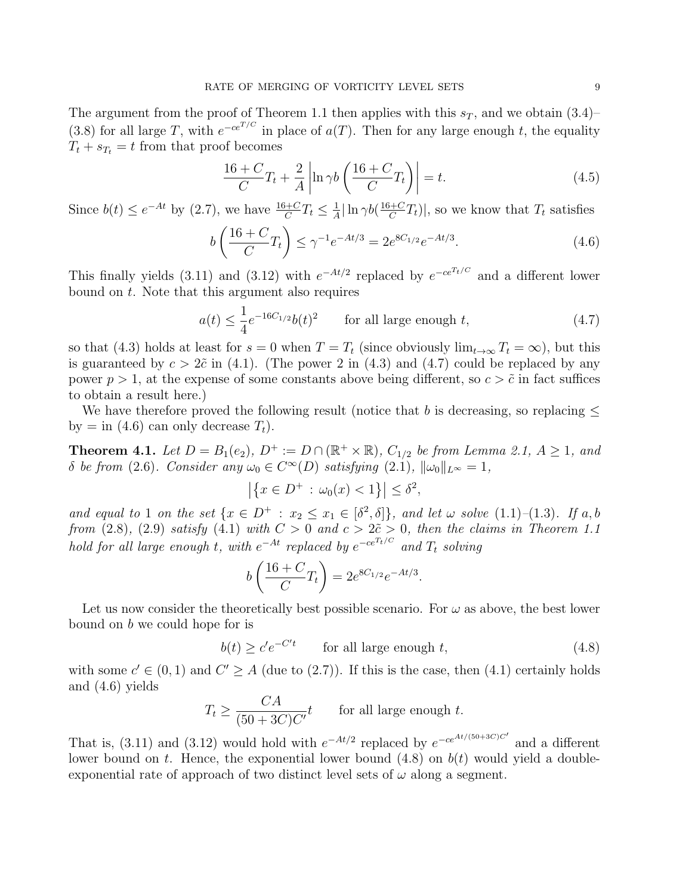The argument from the proof of Theorem 1.1 then applies with this  $s_T$ , and we obtain (3.4)– (3.8) for all large T, with  $e^{-ce^{T/C}}$  in place of  $a(T)$ . Then for any large enough t, the equality  $T_t + s_{T_t} = t$  from that proof becomes

$$
\frac{16+C}{C}T_t + \frac{2}{A} \left| \ln \gamma b \left( \frac{16+C}{C}T_t \right) \right| = t.
$$
\n(4.5)

Since  $b(t) \leq e^{-At}$  by (2.7), we have  $\frac{16+C}{C}T_t \leq \frac{1}{A}$  $\frac{1}{A}|\ln \gamma b(\frac{16+C}{C})$  $\frac{H+C}{C}T_t$ , so we know that  $T_t$  satisfies

$$
b\left(\frac{16+C}{C}T_t\right) \le \gamma^{-1}e^{-At/3} = 2e^{8C_{1/2}}e^{-At/3}.\tag{4.6}
$$

This finally yields (3.11) and (3.12) with  $e^{-At/2}$  replaced by  $e^{-ce^{T_t/C}}$  and a different lower bound on t. Note that this argument also requires

$$
a(t) \le \frac{1}{4}e^{-16C_{1/2}}b(t)^2 \qquad \text{for all large enough } t,\tag{4.7}
$$

so that (4.3) holds at least for  $s = 0$  when  $T = T_t$  (since obviously  $\lim_{t\to\infty} T_t = \infty$ ), but this is guaranteed by  $c > 2\tilde{c}$  in (4.1). (The power 2 in (4.3) and (4.7) could be replaced by any power  $p > 1$ , at the expense of some constants above being different, so  $c > \tilde{c}$  in fact suffices to obtain a result here.)

We have therefore proved the following result (notice that b is decreasing, so replacing  $\leq$ by  $=$  in (4.6) can only decrease  $T_t$ ).

**Theorem 4.1.** Let  $D = B_1(e_2)$ ,  $D^+ := D \cap (\mathbb{R}^+ \times \mathbb{R})$ ,  $C_{1/2}$  be from Lemma 2.1,  $A \geq 1$ , and δ be from (2.6). Consider any  $ω_0 ∈ C<sup>∞</sup>(D)$  satisfying (2.1),  $||ω_0||_{L<sup>∞</sup>} = 1$ ,

$$
|\{x \in D^+ : \omega_0(x) < 1\}| \le \delta^2
$$

and equal to 1 on the set  $\{x \in D^+ : x_2 \le x_1 \in [\delta^2, \delta]\}$ , and let  $\omega$  solve  $(1.1)$ - $(1.3)$ . If a, b from (2.8), (2.9) satisfy (4.1) with  $C > 0$  and  $c > 2\tilde{c} > 0$ , then the claims in Theorem 1.1 hold for all large enough t, with  $e^{-At}$  replaced by  $e^{-ce^{T_t/C}}$  and  $T_t$  solving

$$
b\left(\frac{16+C}{C}T_t\right) = 2e^{8C_{1/2}}e^{-At/3}
$$

Let us now consider the theoretically best possible scenario. For  $\omega$  as above, the best lower bound on b we could hope for is

 $b(t) \geq c'e^{-C't}$  for all large enough t, (4.8)

.

with some  $c' \in (0,1)$  and  $C' \geq A$  (due to (2.7)). If this is the case, then (4.1) certainly holds and (4.6) yields

$$
T_t \ge \frac{CA}{(50 + 3C)C'}t
$$
 for all large enough t.

That is, (3.11) and (3.12) would hold with  $e^{-At/2}$  replaced by  $e^{-ce^{At/(50+3C)C'}}$  and a different lower bound on t. Hence, the exponential lower bound  $(4.8)$  on  $b(t)$  would yield a doubleexponential rate of approach of two distinct level sets of  $\omega$  along a segment.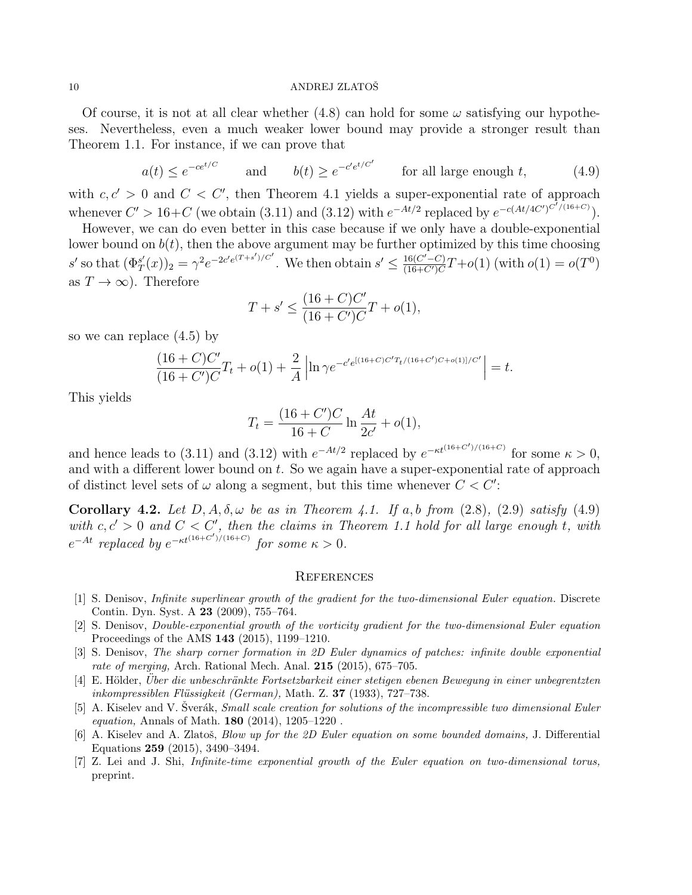Of course, it is not at all clear whether  $(4.8)$  can hold for some  $\omega$  satisfying our hypotheses. Nevertheless, even a much weaker lower bound may provide a stronger result than Theorem 1.1. For instance, if we can prove that

$$
a(t) \le e^{-ce^{t/C}}
$$
 and  $b(t) \ge e^{-c'e^{t/C'}}$  for all large enough t, (4.9)

with  $c, c' > 0$  and  $C < C'$ , then Theorem 4.1 yields a super-exponential rate of approach whenever  $C' > 16+C$  (we obtain (3.11) and (3.12) with  $e^{-At/2}$  replaced by  $e^{-c(At/4C')C^{7/(16+C)}}$ ).

However, we can do even better in this case because if we only have a double-exponential lower bound on  $b(t)$ , then the above argument may be further optimized by this time choosing s' so that  $(\Phi_T^{s'} )$  $(T(T(x))_2 = \gamma^2 e^{-2c'e(T+s')/C'}$ . We then obtain  $s' \leq \frac{16(C'-C)}{(16+C')C}$  $\frac{16(C'-C)}{(16+C')C}T+o(1)$  (with  $o(1)=o(T^0)$ ) as  $T \to \infty$ ). Therefore

$$
T + s' \le \frac{(16 + C)C'}{(16 + C')C}T + o(1),
$$

so we can replace (4.5) by

$$
\frac{(16+C)C'}{(16+C')C}T_t + o(1) + \frac{2}{A}\left|\ln \gamma e^{-c'e^{[(16+C)C'T_t/(16+C')C+o(1)]/C'}}\right| = t.
$$

This yields

$$
T_t = \frac{(16 + C')C}{16 + C} \ln \frac{At}{2c'} + o(1),
$$

and hence leads to (3.11) and (3.12) with  $e^{-At/2}$  replaced by  $e^{-\kappa t^{(16+C')/(16+C)}}$  for some  $\kappa > 0$ , and with a different lower bound on  $t$ . So we again have a super-exponential rate of approach of distinct level sets of  $\omega$  along a segment, but this time whenever  $C < C'$ :

**Corollary 4.2.** Let  $D, A, \delta, \omega$  be as in Theorem 4.1. If a, b from  $(2.8)$ ,  $(2.9)$  satisfy  $(4.9)$ with  $c, c' > 0$  and  $C < C'$ , then the claims in Theorem 1.1 hold for all large enough t, with  $e^{-At}$  replaced by  $e^{-\kappa t^{(16+C')/(16+C)}}$  for some  $\kappa > 0$ .

### **REFERENCES**

- [1] S. Denisov, Infinite superlinear growth of the gradient for the two-dimensional Euler equation. Discrete Contin. Dyn. Syst. A 23 (2009), 755–764.
- [2] S. Denisov, Double-exponential growth of the vorticity gradient for the two-dimensional Euler equation Proceedings of the AMS 143 (2015), 1199–1210.
- [3] S. Denisov, The sharp corner formation in 2D Euler dynamics of patches: infinite double exponential rate of merging, Arch. Rational Mech. Anal. 215 (2015), 675–705.
- [4] E. Hölder, Uber die unbeschränkte Fortsetzbarkeit einer stetigen ebenen Bewegung in einer unbegrentzten inkompressiblen Flüssigkeit (German), Math. Z. 37 (1933), 727–738.
- [5] A. Kiselev and V. Šverák, *Small scale creation for solutions of the incompressible two dimensional Euler* equation, Annals of Math.  $180$  (2014), 1205-1220.
- [6] A. Kiselev and A. Zlatoš, *Blow up for the 2D Euler equation on some bounded domains*, J. Differential Equations 259 (2015), 3490–3494.
- [7] Z. Lei and J. Shi, Infinite-time exponential growth of the Euler equation on two-dimensional torus, preprint.